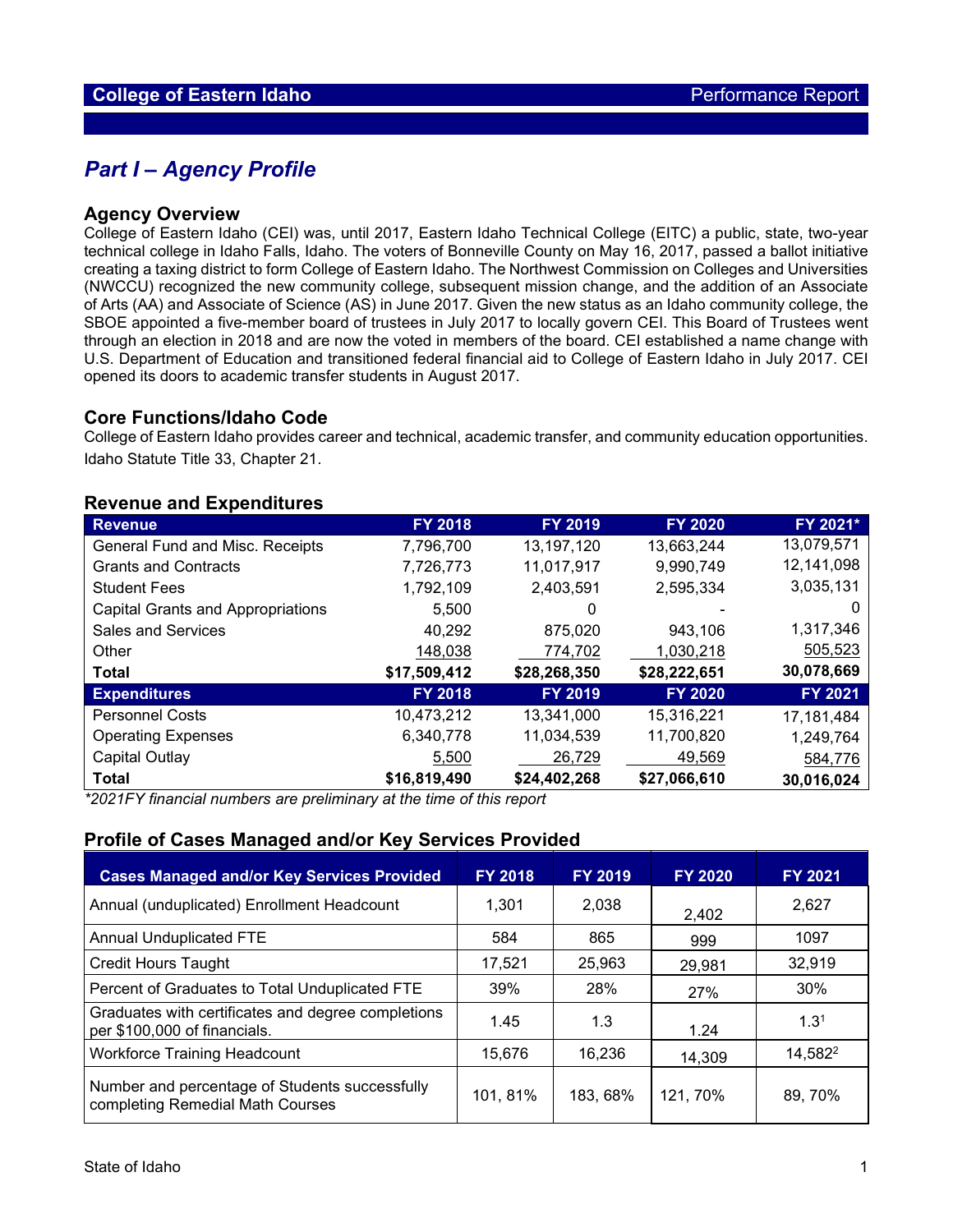## *Part I – Agency Profile*

#### **Agency Overview**

College of Eastern Idaho (CEI) was, until 2017, Eastern Idaho Technical College (EITC) a public, state, two-year technical college in Idaho Falls, Idaho. The voters of Bonneville County on May 16, 2017, passed a ballot initiative creating a taxing district to form College of Eastern Idaho. The Northwest Commission on Colleges and Universities (NWCCU) recognized the new community college, subsequent mission change, and the addition of an Associate of Arts (AA) and Associate of Science (AS) in June 2017. Given the new status as an Idaho community college, the SBOE appointed a five-member board of trustees in July 2017 to locally govern CEI. This Board of Trustees went through an election in 2018 and are now the voted in members of the board. CEI established a name change with U.S. Department of Education and transitioned federal financial aid to College of Eastern Idaho in July 2017. CEI opened its doors to academic transfer students in August 2017.

### **Core Functions/Idaho Code**

College of Eastern Idaho provides career and technical, academic transfer, and community education opportunities. Idaho Statute Title 33, Chapter 21.

| <b>Revenue and Expenditures</b> |  |
|---------------------------------|--|
|---------------------------------|--|

| Revenue                                  | <b>FY 2018</b> | <b>FY 2019</b> | <b>FY 2020</b> | FY 2021*   |
|------------------------------------------|----------------|----------------|----------------|------------|
| <b>General Fund and Misc. Receipts</b>   | 7,796,700      | 13,197,120     | 13,663,244     | 13,079,571 |
| <b>Grants and Contracts</b>              | 7,726,773      | 11,017,917     | 9,990,749      | 12,141,098 |
| <b>Student Fees</b>                      | 1,792,109      | 2,403,591      | 2,595,334      | 3,035,131  |
| <b>Capital Grants and Appropriations</b> | 5,500          | 0              |                | O          |
| <b>Sales and Services</b>                | 40,292         | 875,020        | 943,106        | 1,317,346  |
| Other                                    | 148,038        | 774,702        | 1,030,218      | 505,523    |
| <b>Total</b>                             | \$17,509,412   | \$28,268,350   | \$28,222,651   | 30,078,669 |
| <b>Expenditures</b>                      | <b>FY 2018</b> | <b>FY 2019</b> | <b>FY 2020</b> | FY 2021    |
| <b>Personnel Costs</b>                   | 10,473,212     | 13,341,000     | 15,316,221     | 17,181,484 |
| <b>Operating Expenses</b>                | 6,340,778      | 11,034,539     | 11,700,820     | 1,249,764  |
| Capital Outlay                           | 5,500          | 26,729         | 49,569         | 584,776    |
| <b>Total</b>                             | \$16,819,490   | \$24,402,268   | \$27,066,610   | 30,016,024 |

*\*2021FY financial numbers are preliminary at the time of this report*

## **Profile of Cases Managed and/or Key Services Provided**

| <b>Cases Managed and/or Key Services Provided</b>                                  | <b>FY 2018</b> | <b>FY 2019</b> | <b>FY 2020</b> | FY 2021             |
|------------------------------------------------------------------------------------|----------------|----------------|----------------|---------------------|
| Annual (unduplicated) Enrollment Headcount                                         | 1.301          | 2.038          | 2,402          | 2.627               |
| <b>Annual Unduplicated FTE</b>                                                     | 584            | 865            | 999            | 1097                |
| <b>Credit Hours Taught</b>                                                         | 17.521         | 25,963         | 29,981         | 32,919              |
| Percent of Graduates to Total Unduplicated FTE                                     | 39%            | 28%            | 27%            | 30%                 |
| Graduates with certificates and degree completions<br>per \$100,000 of financials. | 1.45           | 1.3            | 1.24           | 1.3 <sup>1</sup>    |
| <b>Workforce Training Headcount</b>                                                | 15.676         | 16.236         | 14,309         | 14,582 <sup>2</sup> |
| Number and percentage of Students successfully<br>completing Remedial Math Courses | 101, 81%       | 183, 68%       | 121, 70%       | 89, 70%             |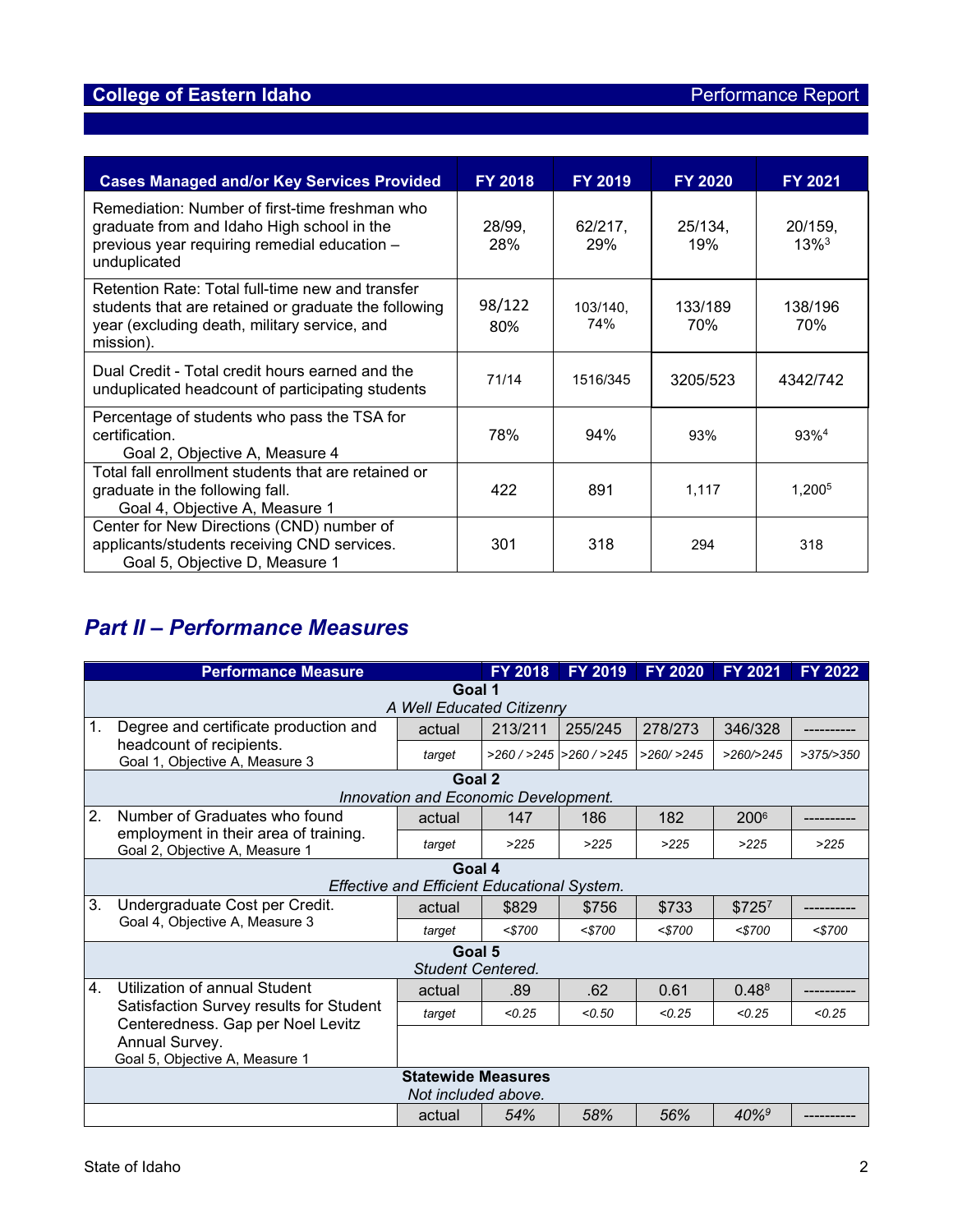| <b>Cases Managed and/or Key Services Provided</b>                                                                                                                     | <b>FY 2018</b> | <b>FY 2019</b>  | <b>FY 2020</b> | <b>FY 2021</b>                 |
|-----------------------------------------------------------------------------------------------------------------------------------------------------------------------|----------------|-----------------|----------------|--------------------------------|
| Remediation: Number of first-time freshman who<br>graduate from and Idaho High school in the<br>previous year requiring remedial education -<br>unduplicated          | 28/99,<br>28%  | 62/217,<br>29%  | 25/134,<br>19% | 20/159,<br>$13\%$ <sup>3</sup> |
| Retention Rate: Total full-time new and transfer<br>students that are retained or graduate the following<br>year (excluding death, military service, and<br>mission). | 98/122<br>80%  | 103/140,<br>74% | 133/189<br>70% | 138/196<br>70%                 |
| Dual Credit - Total credit hours earned and the<br>unduplicated headcount of participating students                                                                   | 71/14          | 1516/345        | 3205/523       | 4342/742                       |
| Percentage of students who pass the TSA for<br>certification.<br>Goal 2, Objective A, Measure 4                                                                       | 78%            | 94%             | 93%            | 93% <sup>4</sup>               |
| Total fall enrollment students that are retained or<br>graduate in the following fall.<br>Goal 4, Objective A, Measure 1                                              | 422            | 891             | 1.117          | 1.200 <sup>5</sup>             |
| Center for New Directions (CND) number of<br>applicants/students receiving CND services.<br>Goal 5, Objective D, Measure 1                                            | 301            | 318             | 294            | 318                            |

# *Part II – Performance Measures*

|                           | <b>Performance Measure</b>                                                   |                                                    | <b>FY 2018</b> | <b>FY 2019</b>       | <b>FY 2020</b> | <b>FY 2021</b>      | <b>FY 2022</b> |  |
|---------------------------|------------------------------------------------------------------------------|----------------------------------------------------|----------------|----------------------|----------------|---------------------|----------------|--|
| Goal 1                    |                                                                              |                                                    |                |                      |                |                     |                |  |
| A Well Educated Citizenry |                                                                              |                                                    |                |                      |                |                     |                |  |
| 1.                        | Degree and certificate production and                                        | actual                                             | 213/211        | 255/245              | 278/273        | 346/328             |                |  |
|                           | headcount of recipients.<br>Goal 1, Objective A, Measure 3                   | target                                             |                | >260/>245  >260/>245 | $>260/$ $>245$ | >260/>245           | >375/>350      |  |
|                           |                                                                              | Goal 2                                             |                |                      |                |                     |                |  |
|                           |                                                                              | Innovation and Economic Development.               |                |                      |                |                     |                |  |
| 2.                        | Number of Graduates who found                                                | actual                                             | 147            | 186                  | 182            | 200 <sup>6</sup>    |                |  |
|                           | employment in their area of training.<br>Goal 2, Objective A, Measure 1      | target                                             | >225           | >225                 | >225           | >225                | >225           |  |
|                           |                                                                              | Goal 4                                             |                |                      |                |                     |                |  |
|                           |                                                                              | <b>Effective and Efficient Educational System.</b> |                |                      |                |                     |                |  |
| 3.                        | Undergraduate Cost per Credit.                                               | actual                                             | \$829          | \$756                | \$733          | \$7257              |                |  |
|                           | Goal 4, Objective A, Measure 3                                               | target                                             | $<$ 5700       | $<$ 5700             | $<$ \$700      | $<$ 5700            | $<$ 5700       |  |
| Goal 5                    |                                                                              |                                                    |                |                      |                |                     |                |  |
|                           |                                                                              | <b>Student Centered.</b>                           |                |                      |                |                     |                |  |
| 4.                        | Utilization of annual Student                                                | actual                                             | .89            | .62                  | 0.61           | $0.48^8$            |                |  |
|                           | Satisfaction Survey results for Student<br>Centeredness. Gap per Noel Levitz | target                                             | < 0.25         | < 0.50               | < 0.25         | < 0.25              | < 0.25         |  |
|                           | Annual Survey.                                                               |                                                    |                |                      |                |                     |                |  |
|                           | Goal 5, Objective A, Measure 1                                               |                                                    |                |                      |                |                     |                |  |
| <b>Statewide Measures</b> |                                                                              |                                                    |                |                      |                |                     |                |  |
| Not included above.       |                                                                              |                                                    |                |                      |                |                     |                |  |
|                           |                                                                              | actual                                             | 54%            | 58%                  | 56%            | $40\%$ <sup>9</sup> |                |  |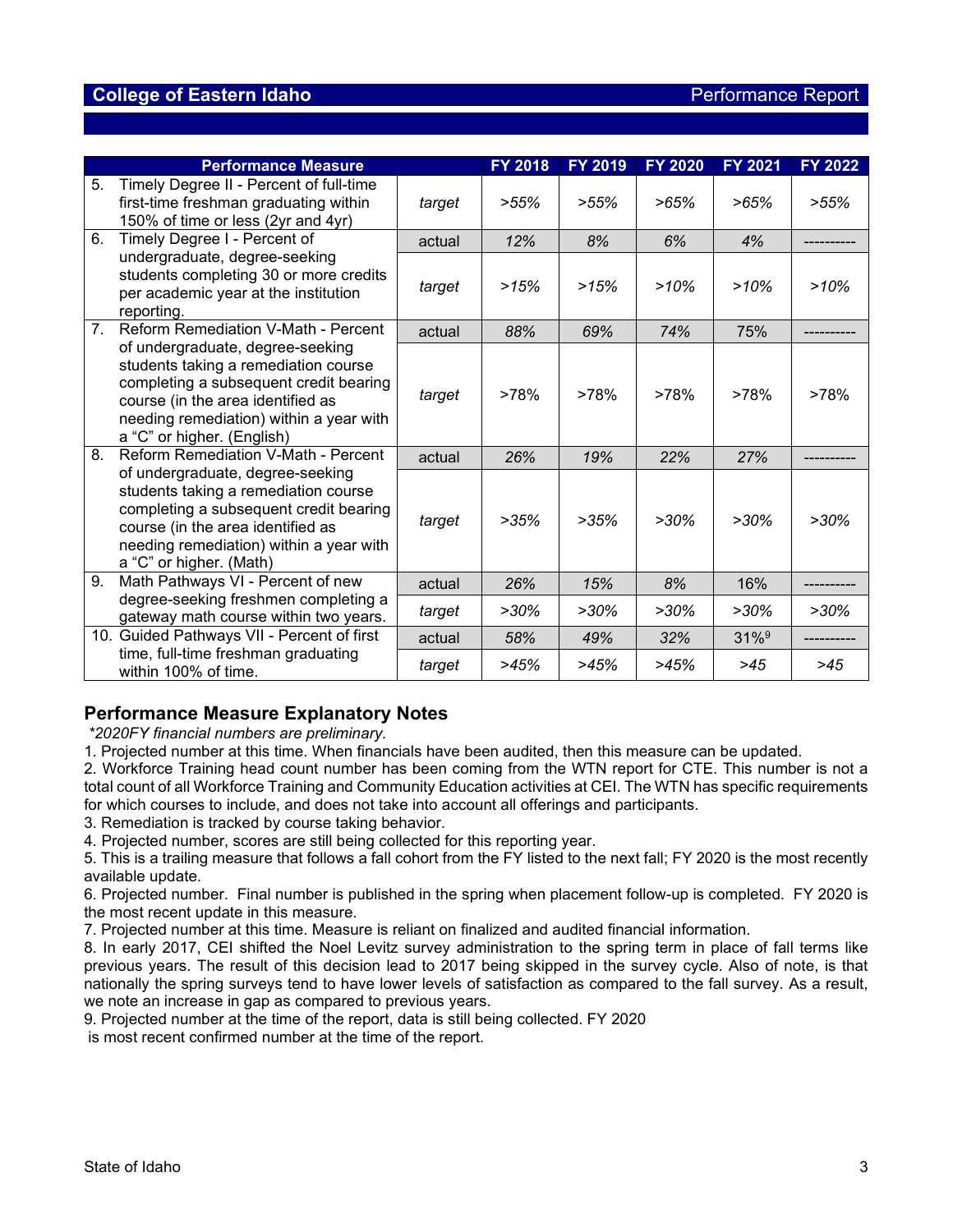|                  | <b>Performance Measure</b>                                                                                                                                                                                                       |        | FY 2018 | <b>FY 2019</b> | FY 2020 | <b>FY 2021</b>      | <b>FY 2022</b> |
|------------------|----------------------------------------------------------------------------------------------------------------------------------------------------------------------------------------------------------------------------------|--------|---------|----------------|---------|---------------------|----------------|
| 5.               | Timely Degree II - Percent of full-time<br>first-time freshman graduating within<br>150% of time or less (2yr and 4yr)                                                                                                           | target | $>55\%$ | $>55\%$        | $>65\%$ | $>65\%$             | $>55\%$        |
| 6.               | Timely Degree I - Percent of                                                                                                                                                                                                     | actual | 12%     | 8%             | 6%      | 4%                  |                |
|                  | undergraduate, degree-seeking<br>students completing 30 or more credits<br>per academic year at the institution<br>reporting.                                                                                                    | target | >15%    | >15%           | $>10\%$ | >10%                | $>10\%$        |
| $\overline{7}$ . | Reform Remediation V-Math - Percent                                                                                                                                                                                              | actual | 88%     | 69%            | 74%     | 75%                 |                |
|                  | of undergraduate, degree-seeking<br>students taking a remediation course<br>completing a subsequent credit bearing<br>course (in the area identified as<br>needing remediation) within a year with<br>a "C" or higher. (English) | target | >78%    | >78%           | >78%    | >78%                | >78%           |
| 8.               | <b>Reform Remediation V-Math - Percent</b>                                                                                                                                                                                       | actual | 26%     | 19%            | 22%     | 27%                 |                |
|                  | of undergraduate, degree-seeking<br>students taking a remediation course<br>completing a subsequent credit bearing<br>course (in the area identified as<br>needing remediation) within a year with<br>a "C" or higher. (Math)    | target | >35%    | >35%           | $>30\%$ | $>30\%$             | $>30\%$        |
| 9.               | Math Pathways VI - Percent of new                                                                                                                                                                                                | actual | 26%     | 15%            | 8%      | 16%                 |                |
|                  | degree-seeking freshmen completing a<br>gateway math course within two years.                                                                                                                                                    | target | $>30\%$ | $>30\%$        | $>30\%$ | $>30\%$             | $>30\%$        |
|                  | 10. Guided Pathways VII - Percent of first                                                                                                                                                                                       | actual | 58%     | 49%            | 32%     | $31\%$ <sup>9</sup> |                |
|                  | time, full-time freshman graduating<br>within 100% of time.                                                                                                                                                                      | target | >45%    | >45%           | >45%    | >45                 | >45            |

## **Performance Measure Explanatory Notes**

*\*2020FY financial numbers are preliminary.*

1. Projected number at this time. When financials have been audited, then this measure can be updated.

2. Workforce Training head count number has been coming from the WTN report for CTE. This number is not a total count of all Workforce Training and Community Education activities at CEI. The WTN has specific requirements for which courses to include, and does not take into account all offerings and participants.

3. Remediation is tracked by course taking behavior.

4. Projected number, scores are still being collected for this reporting year.

5. This is a trailing measure that follows a fall cohort from the FY listed to the next fall; FY 2020 is the most recently available update.

6. Projected number. Final number is published in the spring when placement follow-up is completed. FY 2020 is the most recent update in this measure.

7. Projected number at this time. Measure is reliant on finalized and audited financial information.

8. In early 2017, CEI shifted the Noel Levitz survey administration to the spring term in place of fall terms like previous years. The result of this decision lead to 2017 being skipped in the survey cycle. Also of note, is that nationally the spring surveys tend to have lower levels of satisfaction as compared to the fall survey. As a result, we note an increase in gap as compared to previous years.

9. Projected number at the time of the report, data is still being collected. FY 2020

is most recent confirmed number at the time of the report.